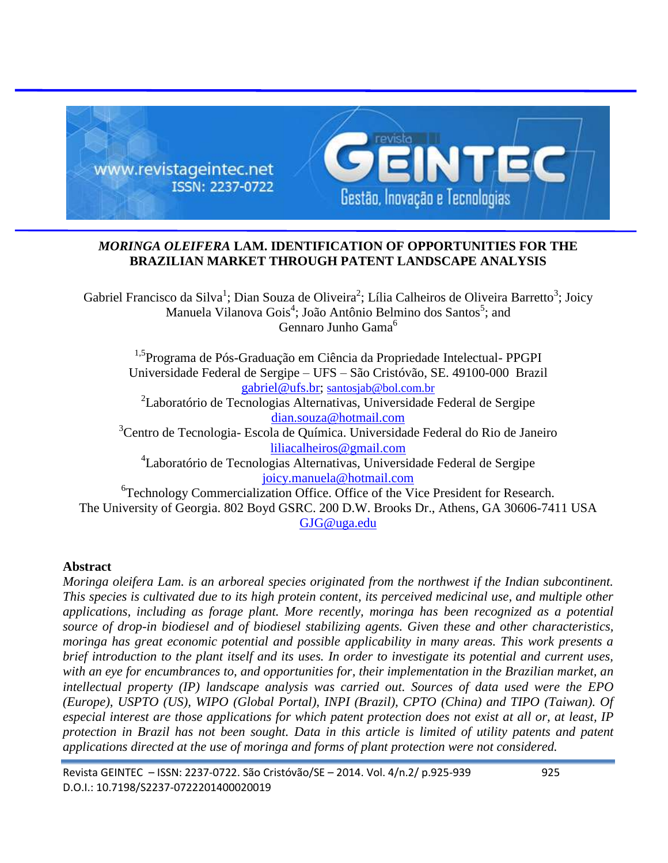

# *MORINGA OLEIFERA* **LAM. IDENTIFICATION OF OPPORTUNITIES FOR THE BRAZILIAN MARKET THROUGH PATENT LANDSCAPE ANALYSIS**

Gabriel Francisco da Silva<sup>1</sup>; Dian Souza de Oliveira<sup>2</sup>; Lília Calheiros de Oliveira Barretto<sup>3</sup>; Joicy Manuela Vilanova Gois<sup>4</sup>; João Antônio Belmino dos Santos<sup>5</sup>; and Gennaro Junho Gama<sup>6</sup>

1,5Programa de Pós-Graduação em Ciência da Propriedade Intelectual- PPGPI Universidade Federal de Sergipe – UFS – São Cristóvão, SE. 49100-000 Brazil [gabriel@ufs.br;](mailto:gabriel@ufs.br) [santosjab@bol.com.br](mailto:santosjab@bol.com.br) <sup>2</sup>Laboratório de Tecnologias Alternativas, Universidade Federal de Sergipe [dian.souza@hotmail.com](mailto:dian.souza@hotmail.com) <sup>3</sup>Centro de Tecnologia- Escola de Química. Universidade Federal do Rio de Janeiro [liliacalheiros@gmail.com](mailto:liliacalheiros@gmail.com) 4 Laboratório de Tecnologias Alternativas, Universidade Federal de Sergipe [joicy.manuela@hotmail.com](mailto:joicy.manuela@hotmail.com) <sup>6</sup>Technology Commercialization Office. Office of the Vice President for Research. The University of Georgia. 802 Boyd GSRC. 200 D.W. Brooks Dr., Athens, GA 30606-7411 USA [GJG@uga.edu](mailto:GJG@uga.edu)

# **Abstract**

*Moringa oleifera Lam. is an arboreal species originated from the northwest if the Indian subcontinent. This species is cultivated due to its high protein content, its perceived medicinal use, and multiple other applications, including as forage plant. More recently, moringa has been recognized as a potential source of drop-in biodiesel and of biodiesel stabilizing agents. Given these and other characteristics, moringa has great economic potential and possible applicability in many areas. This work presents a brief introduction to the plant itself and its uses. In order to investigate its potential and current uses, with an eye for encumbrances to, and opportunities for, their implementation in the Brazilian market, an intellectual property (IP) landscape analysis was carried out. Sources of data used were the EPO (Europe), USPTO (US), WIPO (Global Portal), INPI (Brazil), CPTO (China) and TIPO (Taiwan). Of especial interest are those applications for which patent protection does not exist at all or, at least, IP protection in Brazil has not been sought. Data in this article is limited of utility patents and patent applications directed at the use of moringa and forms of plant protection were not considered.*

Revista GEINTEC – ISSN: 2237-0722. São Cristóvão/SE – 2014. Vol. 4/n.2/ p.925-939 925 D.O.I.: 10.7198/S2237-0722201400020019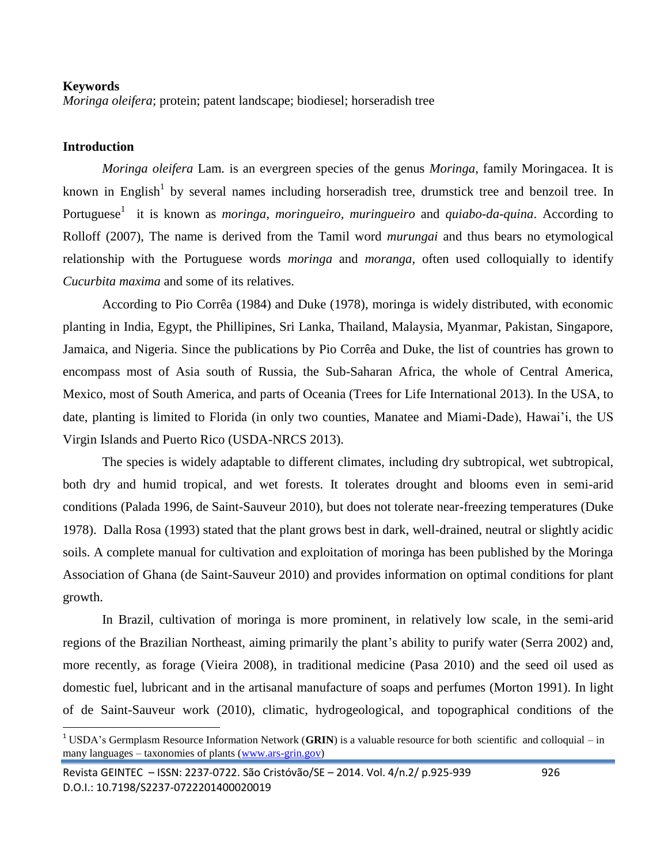#### **Keywords**

*Moringa oleifera*; protein; patent landscape; biodiesel; horseradish tree

#### **Introduction**

 $\overline{a}$ 

*Moringa oleifera* Lam*.* is an evergreen species of the genus *Moringa*, family Moringacea. It is known in English<sup>1</sup> by several names including horseradish tree, drumstick tree and benzoil tree. In Portuguese<sup>1</sup> it is known as *moringa, moringueiro, muringueiro* and *quiabo-da-quina*. According to Rolloff (2007), The name is derived from the Tamil word *murungai* and thus bears no etymological relationship with the Portuguese words *moringa* and *moranga*, often used colloquially to identify *Cucurbita maxima* and some of its relatives.

According to Pio Corrêa (1984) and Duke (1978), moringa is widely distributed, with economic planting in India, Egypt, the Phillipines, Sri Lanka, Thailand, Malaysia, Myanmar, Pakistan, Singapore, Jamaica, and Nigeria. Since the publications by Pio Corrêa and Duke, the list of countries has grown to encompass most of Asia south of Russia, the Sub-Saharan Africa, the whole of Central America, Mexico, most of South America, and parts of Oceania (Trees for Life International 2013). In the USA, to date, planting is limited to Florida (in only two counties, Manatee and Miami-Dade), Hawai'i, the US Virgin Islands and Puerto Rico (USDA-NRCS 2013).

The species is widely adaptable to different climates, including dry subtropical, wet subtropical, both dry and humid tropical, and wet forests. It tolerates drought and blooms even in semi-arid conditions (Palada 1996, de Saint-Sauveur 2010), but does not tolerate near-freezing temperatures (Duke 1978). Dalla Rosa (1993) stated that the plant grows best in dark, well-drained, neutral or slightly acidic soils. A complete manual for cultivation and exploitation of moringa has been published by the Moringa Association of Ghana (de Saint-Sauveur 2010) and provides information on optimal conditions for plant growth.

In Brazil, cultivation of moringa is more prominent, in relatively low scale, in the semi-arid regions of the Brazilian Northeast, aiming primarily the plant's ability to purify water (Serra 2002) and, more recently, as forage (Vieira 2008), in traditional medicine (Pasa 2010) and the seed oil used as domestic fuel, lubricant and in the artisanal manufacture of soaps and perfumes (Morton 1991). In light of de Saint-Sauveur work (2010), climatic, hydrogeological, and topographical conditions of the

<sup>&</sup>lt;sup>1</sup> USDA's Germplasm Resource Information Network (GRIN) is a valuable resource for both scientific and colloquial – in many languages – taxonomies of plants [\(www.ars-grin.gov\)](http://www.ars-grin.gov/)

Revista GEINTEC – ISSN: 2237-0722. São Cristóvão/SE – 2014. Vol. 4/n.2/ p.925-939 926 D.O.I.: 10.7198/S2237-0722201400020019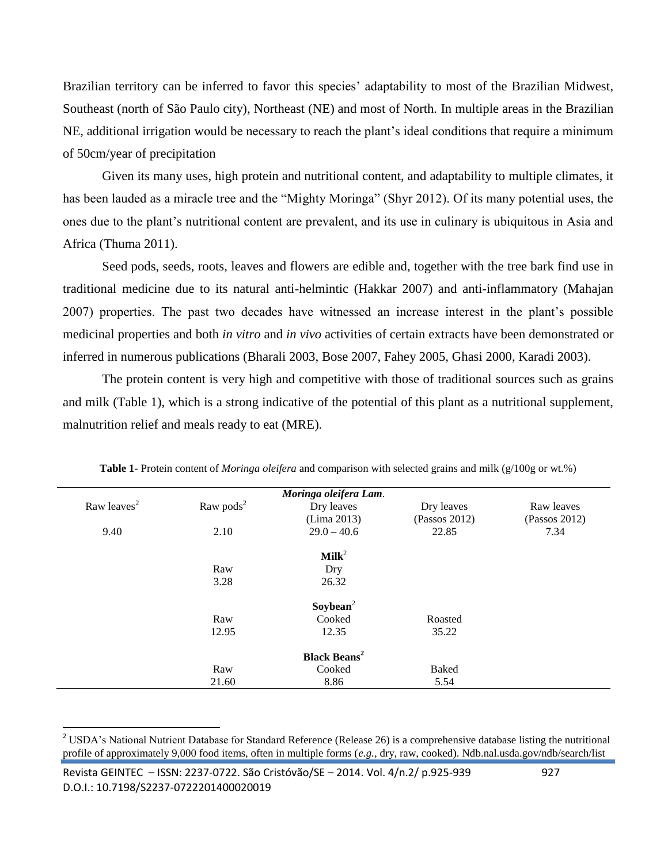Brazilian territory can be inferred to favor this species' adaptability to most of the Brazilian Midwest, Southeast (north of São Paulo city), Northeast (NE) and most of North. In multiple areas in the Brazilian NE, additional irrigation would be necessary to reach the plant's ideal conditions that require a minimum of 50cm/year of precipitation

Given its many uses, high protein and nutritional content, and adaptability to multiple climates, it has been lauded as a miracle tree and the "Mighty Moringa" (Shyr 2012). Of its many potential uses, the ones due to the plant's nutritional content are prevalent, and its use in culinary is ubiquitous in Asia and Africa (Thuma 2011).

Seed pods, seeds, roots, leaves and flowers are edible and, together with the tree bark find use in traditional medicine due to its natural anti-helmintic (Hakkar 2007) and anti-inflammatory (Mahajan 2007) properties. The past two decades have witnessed an increase interest in the plant's possible medicinal properties and both *in vitro* and *in vivo* activities of certain extracts have been demonstrated or inferred in numerous publications (Bharali 2003, Bose 2007, Fahey 2005, Ghasi 2000, Karadi 2003).

The protein content is very high and competitive with those of traditional sources such as grains and milk (Table 1), which is a strong indicative of the potential of this plant as a nutritional supplement, malnutrition relief and meals ready to eat (MRE).

| Raw leaves <sup>2</sup> |                       | Moringa oleifera Lam.          |               |               |
|-------------------------|-----------------------|--------------------------------|---------------|---------------|
|                         | Raw pods <sup>2</sup> | Dry leaves                     | Dry leaves    | Raw leaves    |
|                         |                       | (Lima 2013)                    | (Passos 2012) | (Passos 2012) |
| 9.40                    | 2.10                  | $29.0 - 40.6$                  | 22.85         | 7.34          |
|                         |                       | $\mathbf{Milk}^2$              |               |               |
|                         | Raw                   | Dry                            |               |               |
|                         | 3.28                  | 26.32                          |               |               |
|                         |                       | Soybean <sup>2</sup>           |               |               |
|                         | Raw                   | Cooked                         | Roasted       |               |
|                         | 12.95                 | 12.35                          | 35.22         |               |
|                         |                       | <b>Black Beans<sup>2</sup></b> |               |               |
|                         | Raw                   | Cooked                         | <b>Baked</b>  |               |
|                         | 21.60                 | 8.86                           | 5.54          |               |

**Table 1-** Protein content of *Moringa oleifera* and comparison with selected grains and milk (g/100g or wt.%)

 $\overline{a}$ 

<sup>&</sup>lt;sup>2</sup> USDA's National Nutrient Database for Standard Reference (Release 26) is a comprehensive database listing the nutritional profile of approximately 9,000 food items, often in multiple forms (*e.g.,* dry, raw, cooked). Ndb.nal.usda.gov/ndb/search/list

Revista GEINTEC – ISSN: 2237-0722. São Cristóvão/SE – 2014. Vol. 4/n.2/ p.925-939 927 D.O.I.: 10.7198/S2237-0722201400020019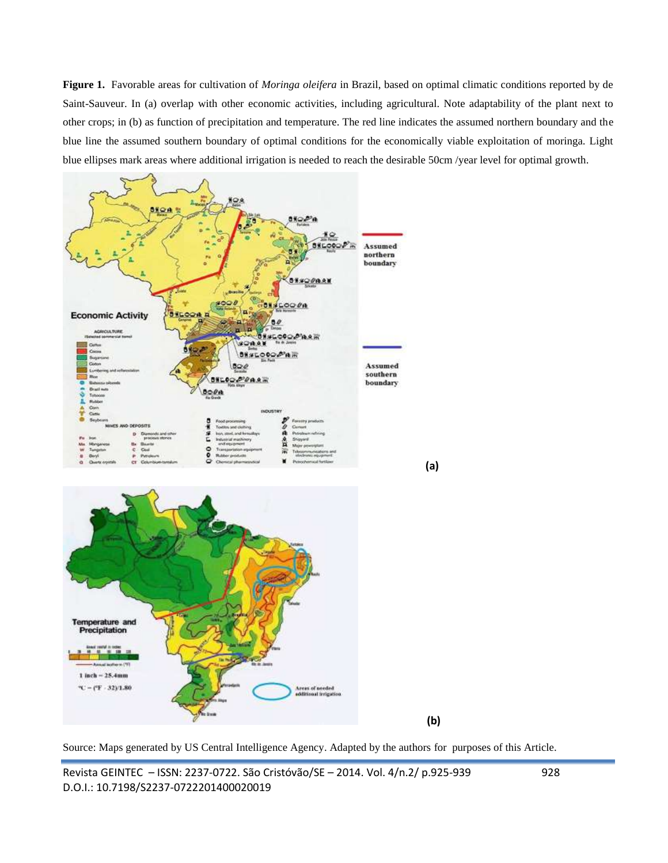**Figure 1.** Favorable areas for cultivation of *Moringa oleifera* in Brazil, based on optimal climatic conditions reported by de Saint-Sauveur. In (a) overlap with other economic activities, including agricultural. Note adaptability of the plant next to other crops; in (b) as function of precipitation and temperature. The red line indicates the assumed northern boundary and the blue line the assumed southern boundary of optimal conditions for the economically viable exploitation of moringa. Light blue ellipses mark areas where additional irrigation is needed to reach the desirable 50cm /year level for optimal growth.



Source: Maps generated by US Central Intelligence Agency. Adapted by the authors for purposes of this Article.

Revista GEINTEC – ISSN: 2237-0722. São Cristóvão/SE – 2014. Vol. 4/n.2/ p.925-939 928 D.O.I.: 10.7198/S2237-0722201400020019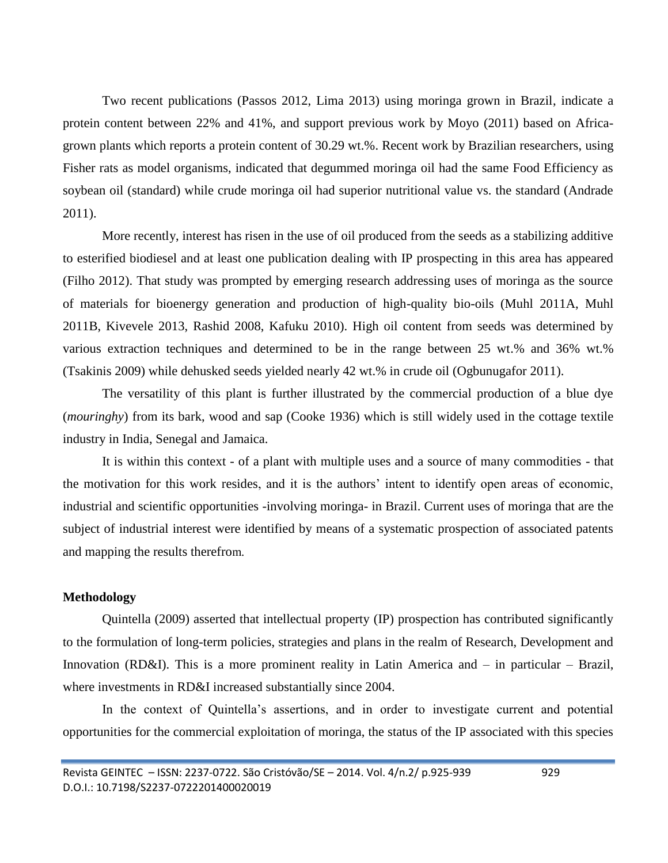Two recent publications (Passos 2012, Lima 2013) using moringa grown in Brazil, indicate a protein content between 22% and 41%, and support previous work by Moyo (2011) based on Africagrown plants which reports a protein content of 30.29 wt.%. Recent work by Brazilian researchers, using Fisher rats as model organisms, indicated that degummed moringa oil had the same Food Efficiency as soybean oil (standard) while crude moringa oil had superior nutritional value vs. the standard (Andrade 2011).

More recently, interest has risen in the use of oil produced from the seeds as a stabilizing additive to esterified biodiesel and at least one publication dealing with IP prospecting in this area has appeared (Filho 2012). That study was prompted by emerging research addressing uses of moringa as the source of materials for bioenergy generation and production of high-quality bio-oils (Muhl 2011A, Muhl 2011B, Kivevele 2013, Rashid 2008, Kafuku 2010). High oil content from seeds was determined by various extraction techniques and determined to be in the range between 25 wt.% and 36% wt.% (Tsakinis 2009) while dehusked seeds yielded nearly 42 wt.% in crude oil (Ogbunugafor 2011).

The versatility of this plant is further illustrated by the commercial production of a blue dye (*mouringhy*) from its bark, wood and sap (Cooke 1936) which is still widely used in the cottage textile industry in India, Senegal and Jamaica.

It is within this context - of a plant with multiple uses and a source of many commodities - that the motivation for this work resides, and it is the authors' intent to identify open areas of economic, industrial and scientific opportunities -involving moringa- in Brazil. Current uses of moringa that are the subject of industrial interest were identified by means of a systematic prospection of associated patents and mapping the results therefrom.

# **Methodology**

Quintella (2009) asserted that intellectual property (IP) prospection has contributed significantly to the formulation of long-term policies, strategies and plans in the realm of Research, Development and Innovation (RD&I). This is a more prominent reality in Latin America and – in particular – Brazil, where investments in RD&I increased substantially since 2004.

In the context of Quintella's assertions, and in order to investigate current and potential opportunities for the commercial exploitation of moringa, the status of the IP associated with this species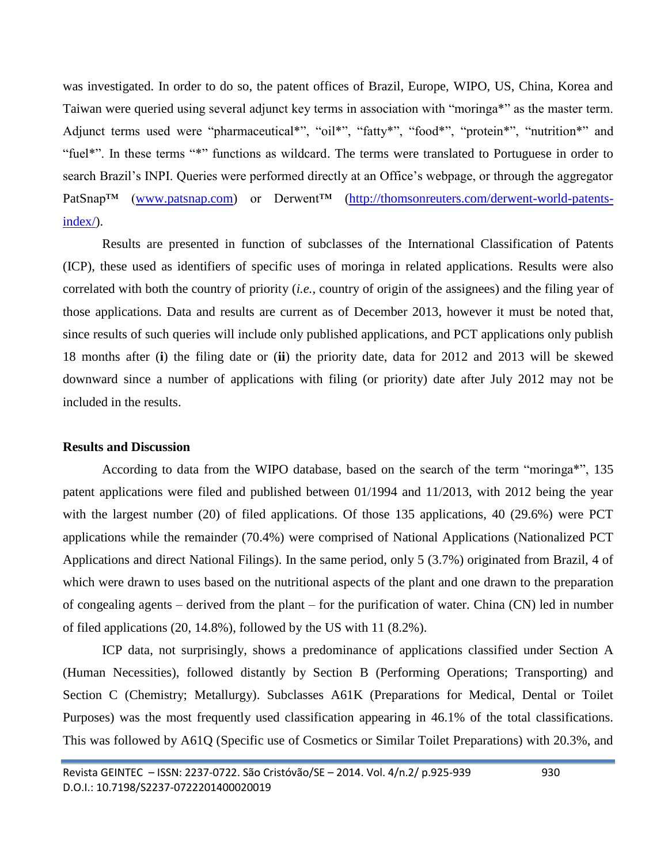was investigated. In order to do so, the patent offices of Brazil, Europe, WIPO, US, China, Korea and Taiwan were queried using several adjunct key terms in association with "moringa\*" as the master term. Adjunct terms used were "pharmaceutical\*", "oil\*", "fatty\*", "food\*", "protein\*", "nutrition\*" and "fuel\*". In these terms "\*" functions as wildcard. The terms were translated to Portuguese in order to search Brazil's INPI. Queries were performed directly at an Office's webpage, or through the aggregator PatSnap™ [\(www.patsnap.com\)](http://www.patsnap.com/) or Derwent™ [\(http://thomsonreuters.com/derwent-world-patents](http://thomsonreuters.com/derwent-world-patents-index/)[index/\)](http://thomsonreuters.com/derwent-world-patents-index/).

Results are presented in function of subclasses of the International Classification of Patents (ICP), these used as identifiers of specific uses of moringa in related applications. Results were also correlated with both the country of priority (*i.e.,* country of origin of the assignees) and the filing year of those applications. Data and results are current as of December 2013, however it must be noted that, since results of such queries will include only published applications, and PCT applications only publish 18 months after (**i**) the filing date or (**ii**) the priority date, data for 2012 and 2013 will be skewed downward since a number of applications with filing (or priority) date after July 2012 may not be included in the results.

#### **Results and Discussion**

According to data from the WIPO database, based on the search of the term "moringa\*", 135 patent applications were filed and published between 01/1994 and 11/2013, with 2012 being the year with the largest number (20) of filed applications. Of those 135 applications, 40 (29.6%) were PCT applications while the remainder (70.4%) were comprised of National Applications (Nationalized PCT Applications and direct National Filings). In the same period, only 5 (3.7%) originated from Brazil, 4 of which were drawn to uses based on the nutritional aspects of the plant and one drawn to the preparation of congealing agents – derived from the plant – for the purification of water. China (CN) led in number of filed applications (20, 14.8%), followed by the US with 11 (8.2%).

ICP data, not surprisingly, shows a predominance of applications classified under Section A (Human Necessities), followed distantly by Section B (Performing Operations; Transporting) and Section C (Chemistry; Metallurgy). Subclasses A61K (Preparations for Medical, Dental or Toilet Purposes) was the most frequently used classification appearing in 46.1% of the total classifications. This was followed by A61Q (Specific use of Cosmetics or Similar Toilet Preparations) with 20.3%, and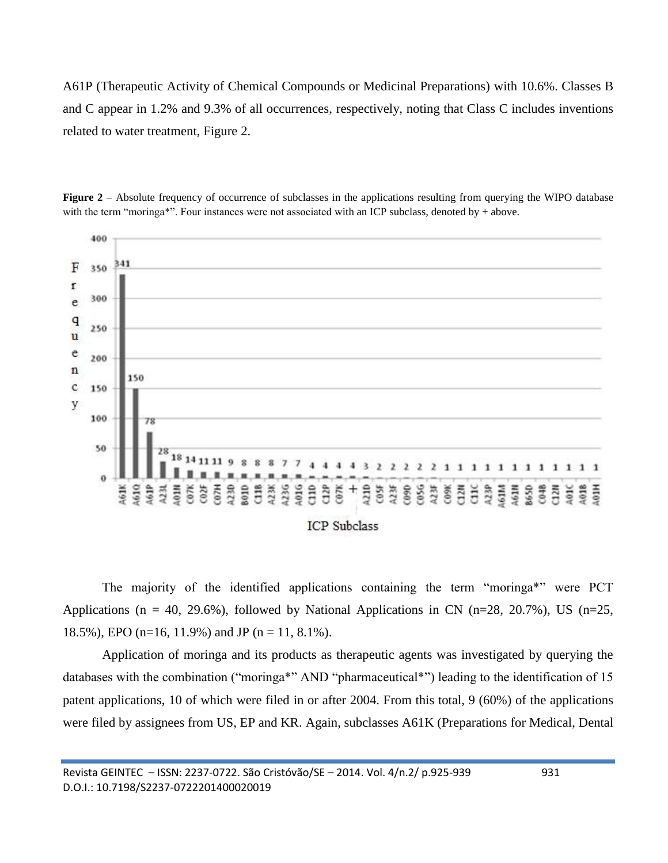A61P (Therapeutic Activity of Chemical Compounds or Medicinal Preparations) with 10.6%. Classes B and C appear in 1.2% and 9.3% of all occurrences, respectively, noting that Class C includes inventions related to water treatment, Figure 2.



**Figure 2** – Absolute frequency of occurrence of subclasses in the applications resulting from querying the WIPO database with the term "moringa\*". Four instances were not associated with an ICP subclass, denoted by  $+$  above.

The majority of the identified applications containing the term "moringa\*" were PCT Applications (n = 40, 29.6%), followed by National Applications in CN (n=28, 20.7%), US (n=25, 18.5%), EPO (n=16, 11.9%) and JP (n = 11, 8.1%).

Application of moringa and its products as therapeutic agents was investigated by querying the databases with the combination ("moringa\*" AND "pharmaceutical\*") leading to the identification of 15 patent applications, 10 of which were filed in or after 2004. From this total, 9 (60%) of the applications were filed by assignees from US, EP and KR. Again, subclasses A61K (Preparations for Medical, Dental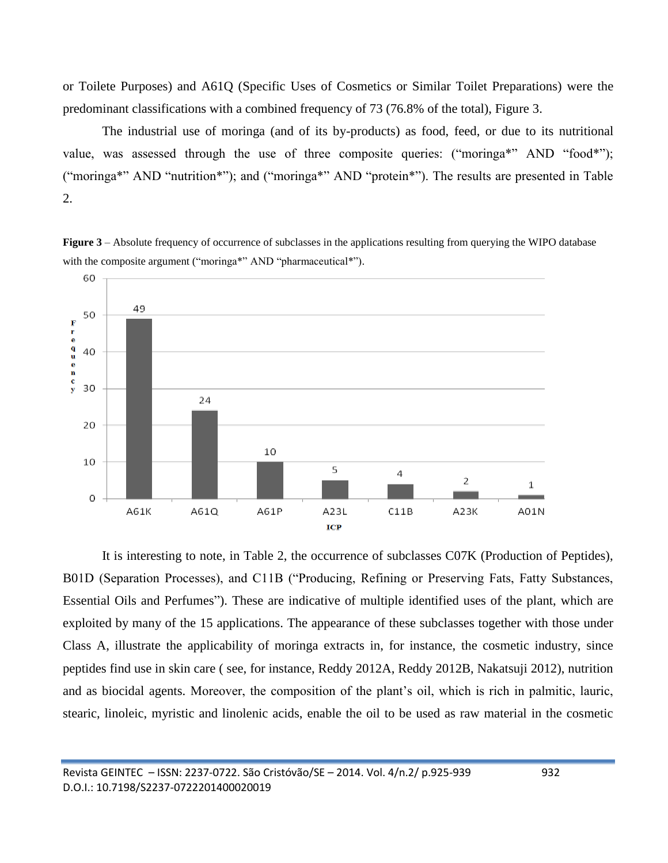or Toilete Purposes) and A61Q (Specific Uses of Cosmetics or Similar Toilet Preparations) were the predominant classifications with a combined frequency of 73 (76.8% of the total), Figure 3.

The industrial use of moringa (and of its by-products) as food, feed, or due to its nutritional value, was assessed through the use of three composite queries: ("moringa\*" AND "food\*"); ("moringa\*" AND "nutrition\*"); and ("moringa\*" AND "protein\*"). The results are presented in Table 2.

**Figure 3** – Absolute frequency of occurrence of subclasses in the applications resulting from querying the WIPO database with the composite argument ("moringa\*" AND "pharmaceutical\*").



It is interesting to note, in Table 2, the occurrence of subclasses C07K (Production of Peptides), B01D (Separation Processes), and C11B ("Producing, Refining or Preserving Fats, Fatty Substances, Essential Oils and Perfumes"). These are indicative of multiple identified uses of the plant, which are exploited by many of the 15 applications. The appearance of these subclasses together with those under Class A, illustrate the applicability of moringa extracts in, for instance, the cosmetic industry, since peptides find use in skin care ( see, for instance, Reddy 2012A, Reddy 2012B, Nakatsuji 2012), nutrition and as biocidal agents. Moreover, the composition of the plant's oil, which is rich in palmitic, lauric, stearic, linoleic, myristic and linolenic acids, enable the oil to be used as raw material in the cosmetic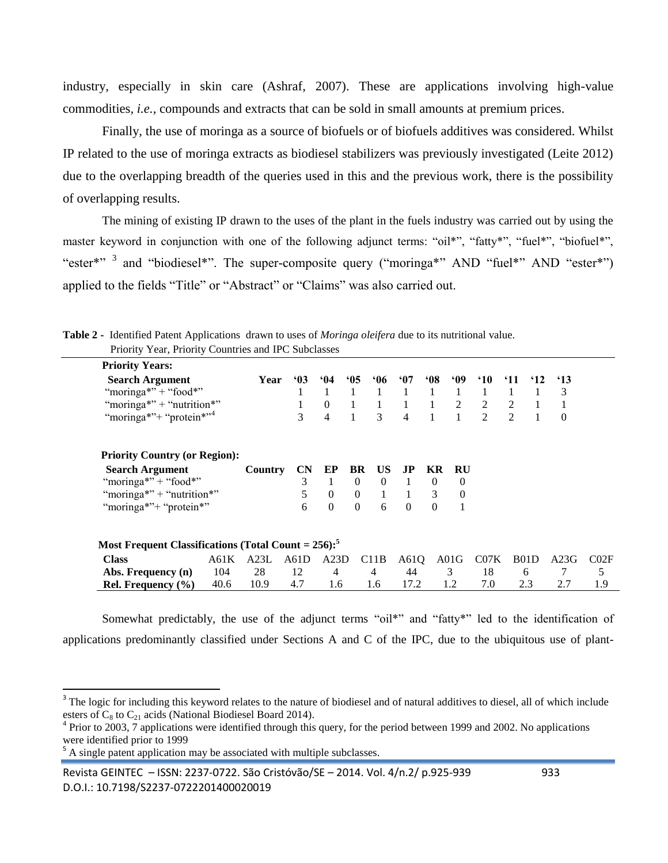industry, especially in skin care (Ashraf, 2007). These are applications involving high-value commodities*, i.e.,* compounds and extracts that can be sold in small amounts at premium prices.

Finally, the use of moringa as a source of biofuels or of biofuels additives was considered. Whilst IP related to the use of moringa extracts as biodiesel stabilizers was previously investigated (Leite 2012) due to the overlapping breadth of the queries used in this and the previous work, there is the possibility of overlapping results.

The mining of existing IP drawn to the uses of the plant in the fuels industry was carried out by using the master keyword in conjunction with one of the following adjunct terms: "oil\*", "fatty\*", "fuel\*", "biofuel\*", "ester\*"<sup>3</sup> and "biodiesel\*". The super-composite query ("moringa\*" AND "fuel\*" AND "ester\*") applied to the fields "Title" or "Abstract" or "Claims" was also carried out.

| <b>Priority Years:</b>                                             |                |            |          |                |                |                |          |            |               |                             |              |                   |      |      |
|--------------------------------------------------------------------|----------------|------------|----------|----------------|----------------|----------------|----------|------------|---------------|-----------------------------|--------------|-------------------|------|------|
| <b>Search Argument</b>                                             | Year           | $\cdot$ 03 | 64       | 05             | .06            | 67             | 68       | <b>.09</b> | $^{\circ}10$  | <sup>'</sup> 11             | $^{\circ}12$ | $\cdot$ 13        |      |      |
| "moringa*" + "food*"                                               |                |            |          |                |                |                |          |            |               |                             |              |                   | 3    |      |
| "moringa*" + "nutrition*"                                          |                |            |          | $\Omega$       |                |                | 1        | 1          | 2             | 2                           | 2            |                   | 1    |      |
| "moringa*" <sup>+</sup> "protein*" <sup>4</sup>                    |                | 3          | 4        | $\mathbf{1}$   | 3              | $\overline{4}$ |          |            | $\mathcal{D}$ | $\mathcal{D}_{\mathcal{L}}$ | $\mathbf{1}$ | $\Omega$          |      |      |
| <b>Priority Country (or Region):</b>                               |                |            |          |                |                |                |          |            |               |                             |              |                   |      |      |
| <b>Search Argument</b>                                             | <b>Country</b> | <b>CN</b>  | EP       | BR             | US             | J <sub>P</sub> | KR       | <b>RU</b>  |               |                             |              |                   |      |      |
| "moringa*" + "food*"                                               |                | 3          |          | $\overline{0}$ | $\theta$       | -1             | $\theta$ | 0          |               |                             |              |                   |      |      |
| "moringa*" + "nutrition*"                                          |                |            | 5        | $\overline{0}$ | $\overline{0}$ | -1             | 1        | 3          | $\theta$      |                             |              |                   |      |      |
| "moringa*"+ "protein*"                                             |                | 6          | $\Omega$ | $\theta$       | 6              | $\theta$       | $\Omega$ |            |               |                             |              |                   |      |      |
| Most Frequent Classifications (Total Count = $256$ ): <sup>5</sup> |                |            |          |                |                |                |          |            |               |                             |              |                   |      |      |
| <b>Class</b><br>A61K                                               |                | A23L       | A61D     | A23D           |                | C11B           | A61Q     |            | A01G          | CO7K                        |              | B <sub>0</sub> 1D | A23G | CO2F |
| 104<br>Abs. Frequency (n)                                          |                | 28         | 12       | 4              |                | 4              | 44       |            | 3             | 18                          |              | 6                 | 7    | 5    |
| Rel. Frequency $(\% )$<br>40.6                                     |                | 10.9       | 4.7      | 1.6            |                | 1.6            | 17.2     |            | 1.2           | 7.0                         |              | 2.3               | 2.7  | 1.9  |

**Table 2 -** Identified Patent Applications drawn to uses of *Moringa oleifera* due to its nutritional value.  $P_{\text{rionity}} V_{\text{corr}} P_{\text{rionity}} C_0$ 

Somewhat predictably, the use of the adjunct terms "oil\*" and "fatty\*" led to the identification of applications predominantly classified under Sections A and C of the IPC, due to the ubiquitous use of plant-

 $5$  A single patent application may be associated with multiple subclasses.

 $\overline{a}$ 

Revista GEINTEC – ISSN: 2237-0722. São Cristóvão/SE – 2014. Vol. 4/n.2/ p.925-939 933 D.O.I.: 10.7198/S2237-0722201400020019

<sup>&</sup>lt;sup>3</sup> The logic for including this keyword relates to the nature of biodiesel and of natural additives to diesel, all of which include esters of  $C_8$  to  $C_{21}$  acids (National Biodiesel Board 2014).

<sup>&</sup>lt;sup>4</sup> Prior to 2003, 7 applications were identified through this query, for the period between 1999 and 2002. No applications were identified prior to 1999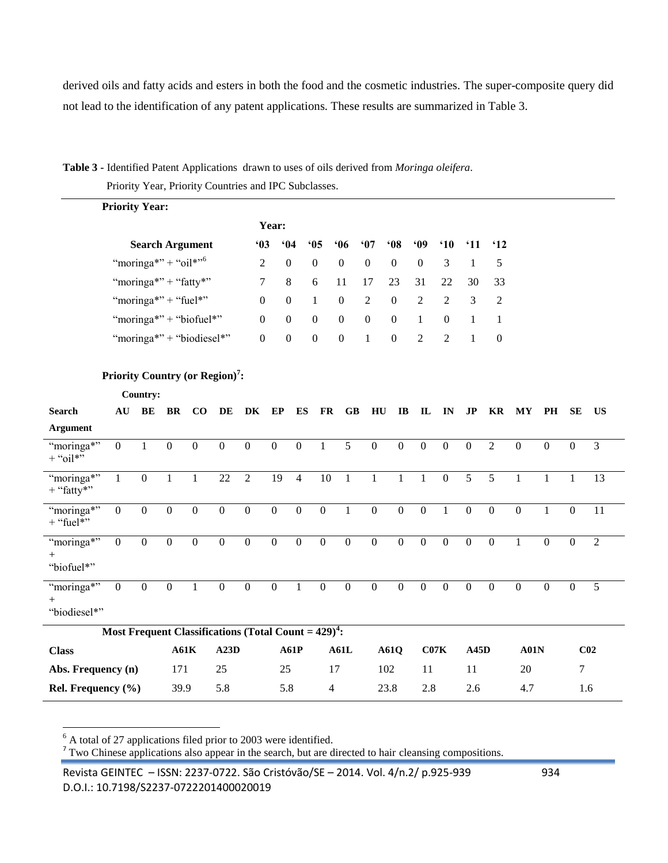derived oils and fatty acids and esters in both the food and the cosmetic industries. The super-composite query did not lead to the identification of any patent applications. These results are summarized in Table 3.

**Table 3 -** Identified Patent Applications drawn to uses of oils derived from *Moringa oleifera*.

|  | Priority Year, Priority Countries and IPC Subclasses. |  |
|--|-------------------------------------------------------|--|
|--|-------------------------------------------------------|--|

|                                      | <b>Priority Year:</b>                                   |                  |                                  |                           |                  |                  |                  |                  |                  |                        |                  |                       |                  |                  |                         |                  |                  |                  |                  |                |  |
|--------------------------------------|---------------------------------------------------------|------------------|----------------------------------|---------------------------|------------------|------------------|------------------|------------------|------------------|------------------------|------------------|-----------------------|------------------|------------------|-------------------------|------------------|------------------|------------------|------------------|----------------|--|
|                                      |                                                         |                  |                                  |                           |                  |                  | Year:            |                  |                  |                        |                  |                       |                  |                  |                         |                  |                  |                  |                  |                |  |
|                                      |                                                         |                  |                                  | <b>Search Argument</b>    |                  | 63               |                  | 64               | 05               | 06                     | `07              | •08                   | .09              | $^{\circ}10$     | '11                     | $^{\circ}12$     |                  |                  |                  |                |  |
|                                      |                                                         |                  | "moringa*" + "oil*" <sup>6</sup> |                           |                  | 2                |                  | $\boldsymbol{0}$ | $\boldsymbol{0}$ | $\boldsymbol{0}$       | $\boldsymbol{0}$ | $\boldsymbol{0}$      | $\boldsymbol{0}$ | 3                | 1                       | 5                |                  |                  |                  |                |  |
|                                      |                                                         |                  |                                  | "moringa*" + "fatty*"     |                  | 7                |                  | 8                | 6                | 11                     | 17               | 23                    | 31               | 22               | 30                      | 33               |                  |                  |                  |                |  |
|                                      |                                                         |                  | "moringa*" + "fuel*"             |                           |                  | $\boldsymbol{0}$ |                  | $\boldsymbol{0}$ | $\mathbf{1}$     | $\boldsymbol{0}$       | $\boldsymbol{2}$ | $\boldsymbol{0}$      | $\overline{c}$   | 2                | 3                       | $\overline{c}$   |                  |                  |                  |                |  |
|                                      |                                                         |                  |                                  | "moringa*" + "biofuel*"   |                  | $\overline{0}$   |                  | $\boldsymbol{0}$ | $\boldsymbol{0}$ | $\boldsymbol{0}$       | $\boldsymbol{0}$ | $\boldsymbol{0}$      | $\mathbf{1}$     | $\boldsymbol{0}$ | $\mathbf{1}$            | $\mathbf{1}$     |                  |                  |                  |                |  |
|                                      |                                                         |                  |                                  | "moringa*" + "biodiesel*" |                  | $\boldsymbol{0}$ |                  | $\boldsymbol{0}$ | $\boldsymbol{0}$ | $\boldsymbol{0}$       | $\mathbf{1}$     | $\boldsymbol{0}$      | $\overline{2}$   | 2                | 1                       | $\boldsymbol{0}$ |                  |                  |                  |                |  |
|                                      | Priority Country (or Region) <sup>7</sup> :             |                  |                                  |                           |                  |                  |                  |                  |                  |                        |                  |                       |                  |                  |                         |                  |                  |                  |                  |                |  |
|                                      |                                                         | Country:         |                                  |                           |                  |                  |                  |                  |                  |                        |                  |                       |                  |                  |                         |                  |                  |                  |                  |                |  |
| <b>Search</b>                        | AU                                                      | BE               | $\mathbf{B}$                     | $\bf CO$                  | DE               | DK               | EP               | ES               | <b>FR</b>        | $\mathbf{G}\mathbf{B}$ | H <sub>U</sub>   | $\mathbf{I}$ <b>B</b> | $\mathbf{L}$     | IN               | $\mathbf{J} \mathbf{P}$ | KR               | $\bold{MY}$      | PH               | <b>SE</b>        | <b>US</b>      |  |
| <b>Argument</b>                      |                                                         |                  |                                  |                           |                  |                  |                  | $\overline{0}$   |                  |                        | $\overline{0}$   |                       | $\overline{0}$   |                  |                         |                  |                  |                  |                  |                |  |
| "moringa*"<br>$+$ "oil*"             | $\boldsymbol{0}$                                        | $\mathbf{1}$     | $\boldsymbol{0}$                 | $\boldsymbol{0}$          | $\boldsymbol{0}$ | $\boldsymbol{0}$ | $\boldsymbol{0}$ |                  | $\mathbf{1}$     | 5                      |                  | $\boldsymbol{0}$      |                  | $\mathbf{0}$     | $\mathbf{0}$            | $\overline{2}$   | $\mathbf{0}$     | $\mathbf{0}$     | $\boldsymbol{0}$ | 3              |  |
| "moringa*"<br>$+$ "fatty"            | $\mathbf{1}$                                            | $\boldsymbol{0}$ | $\mathbf{1}$                     | $\mathbf{1}$              | 22               | $\overline{2}$   | 19               | $\overline{4}$   | 10               | $\mathbf{1}$           | $\mathbf{1}$     | $\mathbf{1}$          | $\mathbf{1}$     | $\mathbf{0}$     | $\overline{5}$          | 5                | $\mathbf{1}$     | $\mathbf{1}$     | $\mathbf{1}$     | 13             |  |
| "moringa*"<br>$+$ "fuel*"            | $\boldsymbol{0}$                                        | $\overline{0}$   | $\mathbf{0}$                     | $\boldsymbol{0}$          | $\overline{0}$   | $\overline{0}$   | $\boldsymbol{0}$ | $\overline{0}$   | $\overline{0}$   | $\mathbf{1}$           | $\overline{0}$   | $\overline{0}$        | $\overline{0}$   | $\mathbf{1}$     | $\overline{0}$          | $\overline{0}$   | $\boldsymbol{0}$ | $\mathbf{1}$     | $\boldsymbol{0}$ | 11             |  |
| "moringa*"<br>"biofuel*"             | $\boldsymbol{0}$                                        | $\boldsymbol{0}$ | $\mathbf{0}$                     | $\boldsymbol{0}$          | $\boldsymbol{0}$ | $\boldsymbol{0}$ | $\boldsymbol{0}$ | $\boldsymbol{0}$ | $\mathbf{0}$     | $\boldsymbol{0}$       | $\boldsymbol{0}$ | $\boldsymbol{0}$      | $\boldsymbol{0}$ | $\boldsymbol{0}$ | $\boldsymbol{0}$        | $\mathbf{0}$     | 1                | $\boldsymbol{0}$ | $\mathbf{0}$     | $\overline{2}$ |  |
| "moringa*"<br>$^{+}$<br>"biodiesel*" | $\overline{0}$                                          | $\overline{0}$   | $\boldsymbol{0}$                 | $\mathbf{1}$              | $\boldsymbol{0}$ | $\boldsymbol{0}$ | $\boldsymbol{0}$ | $\mathbf{1}$     | $\boldsymbol{0}$ | $\boldsymbol{0}$       | $\boldsymbol{0}$ | $\boldsymbol{0}$      | $\boldsymbol{0}$ | $\mathbf{0}$     | $\mathbf{0}$            | $\boldsymbol{0}$ | $\boldsymbol{0}$ | $\mathbf{0}$     | $\boldsymbol{0}$ | 5              |  |
|                                      | Most Frequent Classifications (Total Count = $429)^4$ : |                  |                                  |                           |                  |                  |                  |                  |                  |                        |                  |                       |                  |                  |                         |                  |                  |                  |                  |                |  |
| <b>Class</b>                         | A61K                                                    |                  | A23D                             |                           |                  | A61P             |                  | A61L             |                  | A61Q                   |                  | C07K                  |                  | A45D             |                         | A01N             | C <sub>02</sub>  |                  |                  |                |  |
| Abs. Frequency (n)                   |                                                         |                  | 171                              |                           | 25               |                  | 25               |                  |                  | 17                     |                  |                       | 102<br>11        |                  | 11                      |                  |                  | 20               |                  | $\tau$         |  |
| Rel. Frequency (%)                   |                                                         |                  | 39.9                             |                           | 5.8              |                  | 5.8              |                  |                  | 4                      |                  | 23.8                  | 2.8              |                  | 2.6                     |                  | 4.7              |                  | 1.6              |                |  |

 $\ddot{\phantom{a}}$ 

 $^6$  A total of 27 applications filed prior to 2003 were identified.<br><sup>7</sup> Two Chinese applications also appear in the search, but are directed to hair cleansing compositions.

Revista GEINTEC – ISSN: 2237-0722. São Cristóvão/SE – 2014. Vol. 4/n.2/ p.925-939 934 D.O.I.: 10.7198/S2237-0722201400020019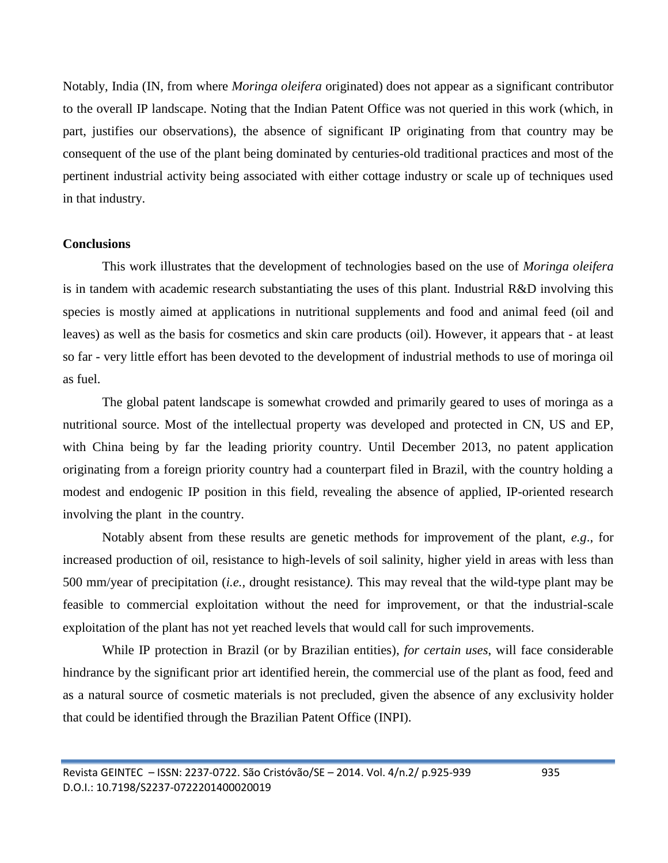Notably, India (IN, from where *Moringa oleifera* originated) does not appear as a significant contributor to the overall IP landscape. Noting that the Indian Patent Office was not queried in this work (which, in part, justifies our observations), the absence of significant IP originating from that country may be consequent of the use of the plant being dominated by centuries-old traditional practices and most of the pertinent industrial activity being associated with either cottage industry or scale up of techniques used in that industry.

# **Conclusions**

This work illustrates that the development of technologies based on the use of *Moringa oleifera* is in tandem with academic research substantiating the uses of this plant. Industrial R&D involving this species is mostly aimed at applications in nutritional supplements and food and animal feed (oil and leaves) as well as the basis for cosmetics and skin care products (oil). However, it appears that - at least so far - very little effort has been devoted to the development of industrial methods to use of moringa oil as fuel.

The global patent landscape is somewhat crowded and primarily geared to uses of moringa as a nutritional source. Most of the intellectual property was developed and protected in CN, US and EP, with China being by far the leading priority country. Until December 2013, no patent application originating from a foreign priority country had a counterpart filed in Brazil, with the country holding a modest and endogenic IP position in this field, revealing the absence of applied, IP-oriented research involving the plant in the country.

Notably absent from these results are genetic methods for improvement of the plant, *e.g*., for increased production of oil, resistance to high-levels of soil salinity, higher yield in areas with less than 500 mm/year of precipitation (*i.e.,* drought resistance*)*. This may reveal that the wild-type plant may be feasible to commercial exploitation without the need for improvement, or that the industrial-scale exploitation of the plant has not yet reached levels that would call for such improvements.

While IP protection in Brazil (or by Brazilian entities), *for certain uses*, will face considerable hindrance by the significant prior art identified herein, the commercial use of the plant as food, feed and as a natural source of cosmetic materials is not precluded, given the absence of any exclusivity holder that could be identified through the Brazilian Patent Office (INPI).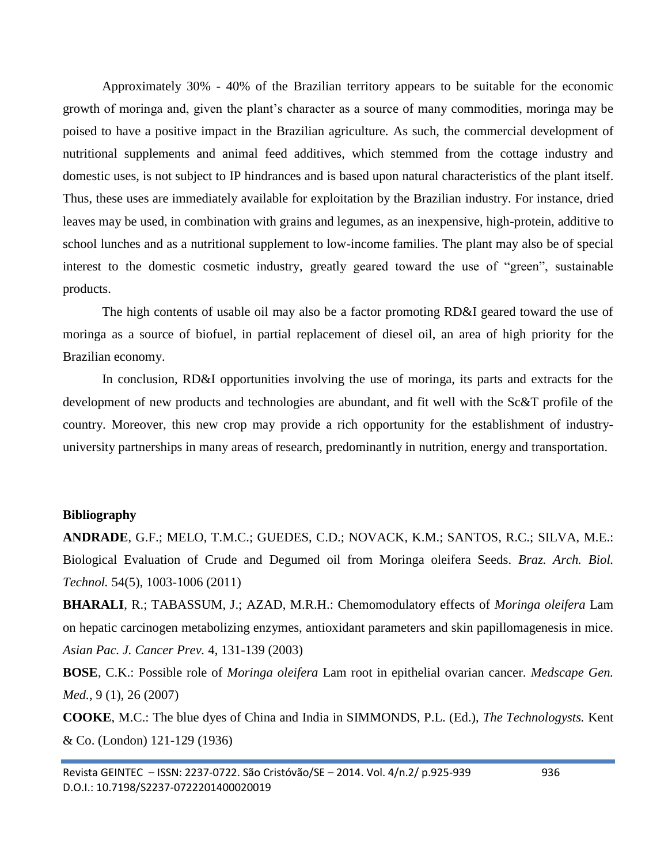Approximately 30% - 40% of the Brazilian territory appears to be suitable for the economic growth of moringa and, given the plant's character as a source of many commodities, moringa may be poised to have a positive impact in the Brazilian agriculture. As such, the commercial development of nutritional supplements and animal feed additives, which stemmed from the cottage industry and domestic uses, is not subject to IP hindrances and is based upon natural characteristics of the plant itself. Thus, these uses are immediately available for exploitation by the Brazilian industry. For instance, dried leaves may be used, in combination with grains and legumes, as an inexpensive, high-protein, additive to school lunches and as a nutritional supplement to low-income families. The plant may also be of special interest to the domestic cosmetic industry, greatly geared toward the use of "green", sustainable products.

The high contents of usable oil may also be a factor promoting RD&I geared toward the use of moringa as a source of biofuel, in partial replacement of diesel oil, an area of high priority for the Brazilian economy.

In conclusion, RD&I opportunities involving the use of moringa, its parts and extracts for the development of new products and technologies are abundant, and fit well with the Sc&T profile of the country. Moreover, this new crop may provide a rich opportunity for the establishment of industryuniversity partnerships in many areas of research, predominantly in nutrition, energy and transportation.

# **Bibliography**

**ANDRADE**, G.F.; MELO, T.M.C.; GUEDES, C.D.; NOVACK, K.M.; SANTOS, R.C.; SILVA, M.E.: Biological Evaluation of Crude and Degumed oil from Moringa oleifera Seeds. *Braz. Arch. Biol. Technol.* 54(5), 1003-1006 (2011)

**BHARALI**, R.; TABASSUM, J.; AZAD, M.R.H.: Chemomodulatory effects of *Moringa oleifera* Lam on hepatic carcinogen metabolizing enzymes, antioxidant parameters and skin papillomagenesis in mice. *Asian Pac. J. Cancer Prev.* 4, 131-139 (2003)

**BOSE**, C.K.: Possible role of *Moringa oleifera* Lam root in epithelial ovarian cancer. *Medscape Gen. Med.,* 9 (1), 26 (2007)

**COOKE**, M.C.: The blue dyes of China and India in SIMMONDS, P.L. (Ed.), *The Technologysts.* Kent & Co. (London) 121-129 (1936)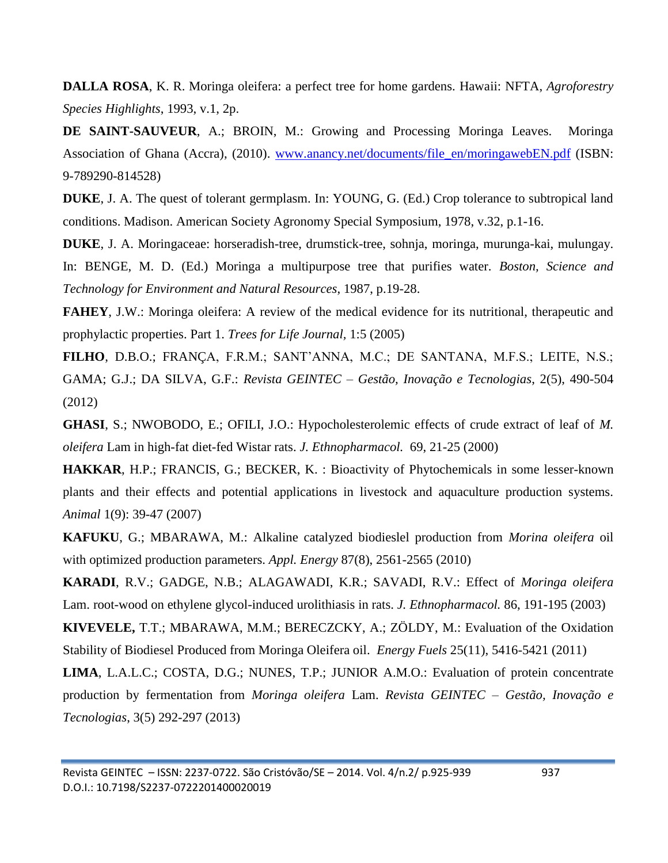**DALLA ROSA**, K. R. Moringa oleifera: a perfect tree for home gardens. Hawaii: NFTA, *Agroforestry Species Highlights*, 1993, v.1, 2p.

**DE SAINT-SAUVEUR**, A.; BROIN, M.: Growing and Processing Moringa Leaves. Moringa Association of Ghana (Accra), (2010). [www.anancy.net/documents/file\\_en/moringawebEN.pdf](http://www.anancy.net/documents/file_en/moringawebEN.pdf) (ISBN: 9-789290-814528)

**DUKE**, J. A. The quest of tolerant germplasm. In: YOUNG, G. (Ed.) Crop tolerance to subtropical land conditions. Madison. American Society Agronomy Special Symposium, 1978, v.32, p.1-16.

**DUKE**, J. A. Moringaceae: horseradish-tree, drumstick-tree, sohnja, moringa, murunga-kai, mulungay. In: BENGE, M. D. (Ed.) Moringa a multipurpose tree that purifies water. *Boston, Science and Technology for Environment and Natural Resources*, 1987, p.19-28.

**FAHEY**, J.W.: Moringa oleifera: A review of the medical evidence for its nutritional, therapeutic and prophylactic properties. Part 1. *Trees for Life Journal,* 1:5 (2005)

**FILHO**, D.B.O.; FRANÇA, F.R.M.; SANT'ANNA, M.C.; DE SANTANA, M.F.S.; LEITE, N.S.; GAMA; G.J.; DA SILVA, G.F.: *Revista GEINTEC – Gestão, Inovação e Tecnologias*, 2(5), 490-504 (2012)

**GHASI**, S.; NWOBODO, E.; OFILI, J.O.: Hypocholesterolemic effects of crude extract of leaf of *M. oleifera* Lam in high-fat diet-fed Wistar rats. *J. Ethnopharmacol.* 69, 21-25 (2000)

**HAKKAR**, H.P.; FRANCIS, G.; BECKER, K. : Bioactivity of Phytochemicals in some lesser-known plants and their effects and potential applications in livestock and aquaculture production systems. *Animal* 1(9): 39-47 (2007)

**KAFUKU**, G.; MBARAWA, M.: Alkaline catalyzed biodieslel production from *Morina oleifera* oil with optimized production parameters. *Appl. Energy* 87(8), 2561-2565 (2010)

**KARADI**, R.V.; GADGE, N.B.; ALAGAWADI, K.R.; SAVADI, R.V.: Effect of *Moringa oleifera*  Lam. root-wood on ethylene glycol-induced urolithiasis in rats. *J. Ethnopharmacol.* 86, 191-195 (2003)

**KIVEVELE,** T.T.; MBARAWA, M.M.; BERECZCKY, A.; ZÖLDY, M.: Evaluation of the Oxidation Stability of Biodiesel Produced from Moringa Oleifera oil. *Energy Fuels* 25(11), 5416-5421 (2011)

**LIMA**, L.A.L.C.; COSTA, D.G.; NUNES, T.P.; JUNIOR A.M.O.: Evaluation of protein concentrate production by fermentation from *Moringa oleifera* Lam. *Revista GEINTEC – Gestão, Inovação e Tecnologias*, 3(5) 292-297 (2013)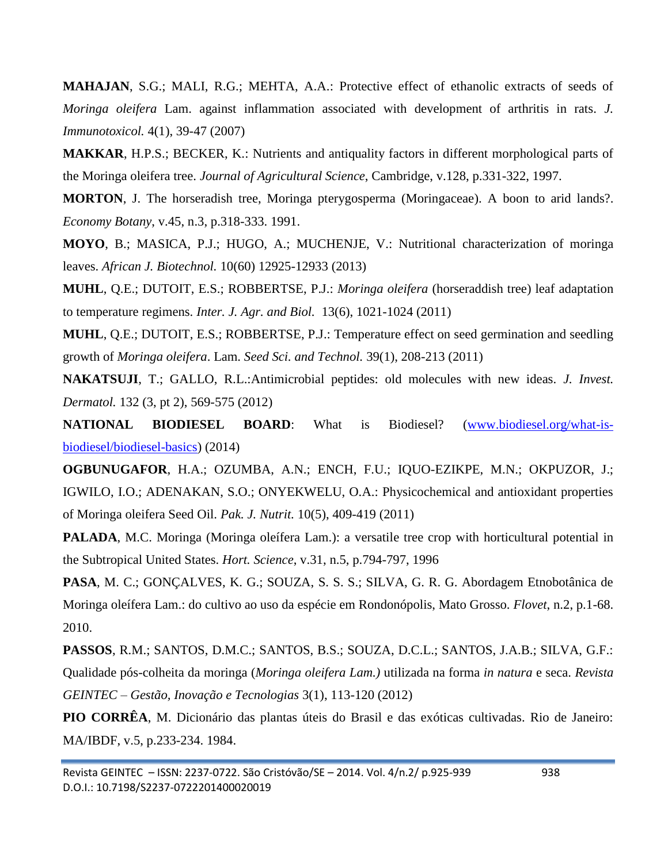**MAHAJAN**, S.G.; MALI, R.G.; MEHTA, A.A.: Protective effect of ethanolic extracts of seeds of *Moringa oleifera* Lam. against inflammation associated with development of arthritis in rats. *J. Immunotoxicol.* 4(1), 39-47 (2007)

**MAKKAR**, H.P.S.; BECKER, K.: Nutrients and antiquality factors in different morphological parts of the Moringa oleifera tree. *Journal of Agricultural Science*, Cambridge, v.128, p.331-322, 1997.

**MORTON**, J. The horseradish tree, Moringa pterygosperma (Moringaceae). A boon to arid lands?. *Economy Botany*, v.45, n.3, p.318-333. 1991.

**MOYO**, B.; MASICA, P.J.; HUGO, A.; MUCHENJE, V.: Nutritional characterization of moringa leaves. *African J. Biotechnol.* 10(60) 12925-12933 (2013)

**MUHL**, Q.E.; DUTOIT, E.S.; ROBBERTSE, P.J.: *Moringa oleifera* (horseraddish tree) leaf adaptation to temperature regimens. *Inter. J. Agr. and Biol.* 13(6), 1021-1024 (2011)

**MUHL**, Q.E.; DUTOIT, E.S.; ROBBERTSE, P.J.: Temperature effect on seed germination and seedling growth of *Moringa oleifera*. Lam. *Seed Sci. and Technol.* 39(1), 208-213 (2011)

**NAKATSUJI**, T.; GALLO, R.L.:Antimicrobial peptides: old molecules with new ideas. *J. Invest. Dermatol.* 132 (3, pt 2), 569-575 (2012)

**NATIONAL BIODIESEL BOARD**: What is Biodiesel? [\(www.biodiesel.org/what-is](http://www.biodiesel.org/what-is-biodiesel/biodiesel-basics)[biodiesel/biodiesel-basics\)](http://www.biodiesel.org/what-is-biodiesel/biodiesel-basics) (2014)

**OGBUNUGAFOR**, H.A.; OZUMBA, A.N.; ENCH, F.U.; IQUO-EZIKPE, M.N.; OKPUZOR, J.; IGWILO, I.O.; ADENAKAN, S.O.; ONYEKWELU, O.A.: Physicochemical and antioxidant properties of Moringa oleifera Seed Oil. *Pak. J. Nutrit.* 10(5), 409-419 (2011)

**PALADA**, M.C. Moringa (Moringa oleífera Lam.): a versatile tree crop with horticultural potential in the Subtropical United States. *Hort. Science*, v.31, n.5, p.794-797, 1996

**PASA**, M. C.; GONÇALVES, K. G.; SOUZA, S. S. S.; SILVA, G. R. G. Abordagem Etnobotânica de Moringa oleífera Lam.: do cultivo ao uso da espécie em Rondonópolis, Mato Grosso. *Flovet*, n.2, p.1-68. 2010.

**PASSOS**, R.M.; SANTOS, D.M.C.; SANTOS, B.S.; SOUZA, D.C.L.; SANTOS, J.A.B.; SILVA, G.F.: Qualidade pós-colheita da moringa (*Moringa oleifera Lam.)* utilizada na forma *in natura* e seca. *Revista GEINTEC – Gestão, Inovação e Tecnologias* 3(1), 113-120 (2012)

**PIO CORRÊA**, M. Dicionário das plantas úteis do Brasil e das exóticas cultivadas. Rio de Janeiro: MA/IBDF, v.5, p.233-234. 1984.